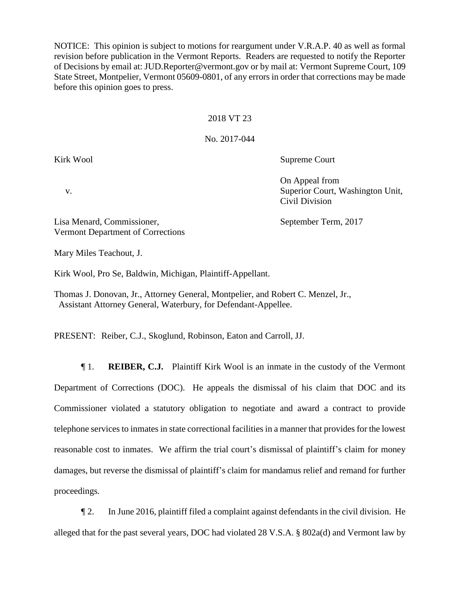NOTICE: This opinion is subject to motions for reargument under V.R.A.P. 40 as well as formal revision before publication in the Vermont Reports. Readers are requested to notify the Reporter of Decisions by email at: JUD.Reporter@vermont.gov or by mail at: Vermont Supreme Court, 109 State Street, Montpelier, Vermont 05609-0801, of any errors in order that corrections may be made before this opinion goes to press.

## 2018 VT 23

## No. 2017-044

Kirk Wool Supreme Court

On Appeal from v. Superior Court, Washington Unit, Civil Division

Lisa Menard, Commissioner, September Term, 2017 Vermont Department of Corrections

Mary Miles Teachout, J.

Kirk Wool, Pro Se, Baldwin, Michigan, Plaintiff-Appellant.

Thomas J. Donovan, Jr., Attorney General, Montpelier, and Robert C. Menzel, Jr., Assistant Attorney General, Waterbury, for Defendant-Appellee.

PRESENT: Reiber, C.J., Skoglund, Robinson, Eaton and Carroll, JJ.

¶ 1. **REIBER, C.J.** Plaintiff Kirk Wool is an inmate in the custody of the Vermont Department of Corrections (DOC). He appeals the dismissal of his claim that DOC and its Commissioner violated a statutory obligation to negotiate and award a contract to provide telephone services to inmates in state correctional facilities in a manner that provides for the lowest reasonable cost to inmates. We affirm the trial court's dismissal of plaintiff's claim for money damages, but reverse the dismissal of plaintiff's claim for mandamus relief and remand for further proceedings.

¶ 2. In June 2016, plaintiff filed a complaint against defendants in the civil division. He alleged that for the past several years, DOC had violated 28 V.S.A. § 802a(d) and Vermont law by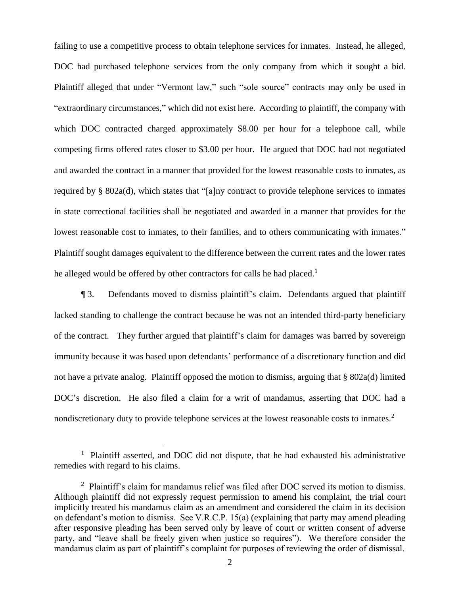failing to use a competitive process to obtain telephone services for inmates. Instead, he alleged, DOC had purchased telephone services from the only company from which it sought a bid. Plaintiff alleged that under "Vermont law," such "sole source" contracts may only be used in "extraordinary circumstances," which did not exist here. According to plaintiff, the company with which DOC contracted charged approximately \$8.00 per hour for a telephone call, while competing firms offered rates closer to \$3.00 per hour. He argued that DOC had not negotiated and awarded the contract in a manner that provided for the lowest reasonable costs to inmates, as required by § 802a(d), which states that "[a]ny contract to provide telephone services to inmates in state correctional facilities shall be negotiated and awarded in a manner that provides for the lowest reasonable cost to inmates, to their families, and to others communicating with inmates." Plaintiff sought damages equivalent to the difference between the current rates and the lower rates he alleged would be offered by other contractors for calls he had placed.<sup>1</sup>

¶ 3. Defendants moved to dismiss plaintiff's claim. Defendants argued that plaintiff lacked standing to challenge the contract because he was not an intended third-party beneficiary of the contract. They further argued that plaintiff's claim for damages was barred by sovereign immunity because it was based upon defendants' performance of a discretionary function and did not have a private analog. Plaintiff opposed the motion to dismiss, arguing that § 802a(d) limited DOC's discretion. He also filed a claim for a writ of mandamus, asserting that DOC had a nondiscretionary duty to provide telephone services at the lowest reasonable costs to inmates. $2$ 

 $\overline{a}$ 

<sup>&</sup>lt;sup>1</sup> Plaintiff asserted, and DOC did not dispute, that he had exhausted his administrative remedies with regard to his claims.

<sup>&</sup>lt;sup>2</sup> Plaintiff's claim for mandamus relief was filed after DOC served its motion to dismiss. Although plaintiff did not expressly request permission to amend his complaint, the trial court implicitly treated his mandamus claim as an amendment and considered the claim in its decision on defendant's motion to dismiss. See V.R.C.P. 15(a) (explaining that party may amend pleading after responsive pleading has been served only by leave of court or written consent of adverse party, and "leave shall be freely given when justice so requires"). We therefore consider the mandamus claim as part of plaintiff's complaint for purposes of reviewing the order of dismissal.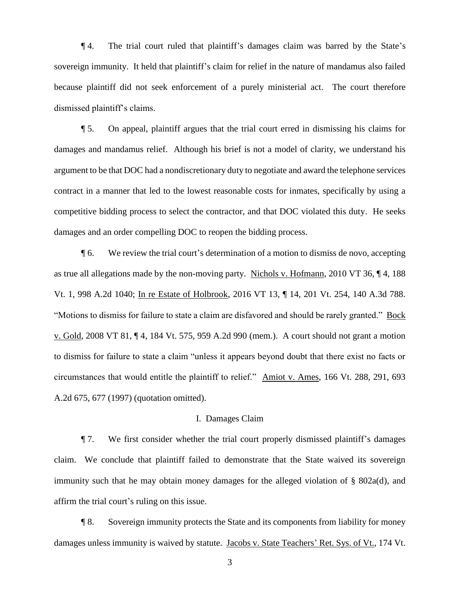¶ 4. The trial court ruled that plaintiff's damages claim was barred by the State's sovereign immunity. It held that plaintiff's claim for relief in the nature of mandamus also failed because plaintiff did not seek enforcement of a purely ministerial act. The court therefore dismissed plaintiff's claims.

¶ 5. On appeal, plaintiff argues that the trial court erred in dismissing his claims for damages and mandamus relief. Although his brief is not a model of clarity, we understand his argument to be that DOC had a nondiscretionary duty to negotiate and award the telephone services contract in a manner that led to the lowest reasonable costs for inmates, specifically by using a competitive bidding process to select the contractor, and that DOC violated this duty. He seeks damages and an order compelling DOC to reopen the bidding process.

¶ 6. We review the trial court's determination of a motion to dismiss de novo, accepting as true all allegations made by the non-moving party. Nichols v. Hofmann, 2010 VT 36, ¶ 4, 188 Vt. 1, 998 A.2d 1040; In re Estate of Holbrook, 2016 VT 13, ¶ 14, 201 Vt. 254, 140 A.3d 788. "Motions to dismiss for failure to state a claim are disfavored and should be rarely granted." Bock v. Gold, 2008 VT 81, ¶ 4, 184 Vt. 575, 959 A.2d 990 (mem.). A court should not grant a motion to dismiss for failure to state a claim "unless it appears beyond doubt that there exist no facts or circumstances that would entitle the plaintiff to relief." Amiot v. Ames, 166 Vt. 288, 291, 693 A.2d 675, 677 (1997) (quotation omitted).

## I. Damages Claim

¶ 7. We first consider whether the trial court properly dismissed plaintiff's damages claim. We conclude that plaintiff failed to demonstrate that the State waived its sovereign immunity such that he may obtain money damages for the alleged violation of  $\S$  802a(d), and affirm the trial court's ruling on this issue.

¶ 8. Sovereign immunity protects the State and its components from liability for money damages unless immunity is waived by statute. Jacobs v. State Teachers' Ret. Sys. of Vt., 174 Vt.

3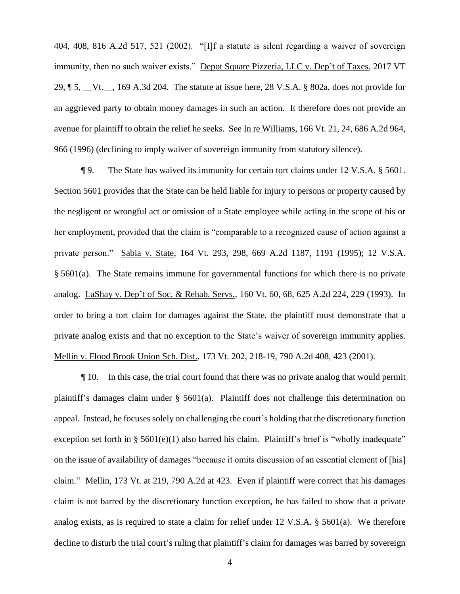404, 408, 816 A.2d 517, 521 (2002). "[I]f a statute is silent regarding a waiver of sovereign immunity, then no such waiver exists." Depot Square Pizzeria, LLC v. Dep't of Taxes, 2017 VT 29, ¶ 5, \_\_Vt.\_\_, 169 A.3d 204. The statute at issue here, 28 V.S.A. § 802a, does not provide for an aggrieved party to obtain money damages in such an action. It therefore does not provide an avenue for plaintiff to obtain the relief he seeks. See In re Williams, 166 Vt. 21, 24, 686 A.2d 964, 966 (1996) (declining to imply waiver of sovereign immunity from statutory silence).

¶ 9. The State has waived its immunity for certain tort claims under 12 V.S.A. § 5601. Section 5601 provides that the State can be held liable for injury to persons or property caused by the negligent or wrongful act or omission of a State employee while acting in the scope of his or her employment, provided that the claim is "comparable to a recognized cause of action against a private person." Sabia v. State, 164 Vt. 293, 298, 669 A.2d 1187, 1191 (1995); 12 V.S.A. § 5601(a). The State remains immune for governmental functions for which there is no private analog. LaShay v. Dep't of Soc. & Rehab. Servs., 160 Vt. 60, 68, 625 A.2d 224, 229 (1993). In order to bring a tort claim for damages against the State, the plaintiff must demonstrate that a private analog exists and that no exception to the State's waiver of sovereign immunity applies. Mellin v. Flood Brook Union Sch. Dist., 173 Vt. 202, 218-19, 790 A.2d 408, 423 (2001).

¶ 10. In this case, the trial court found that there was no private analog that would permit plaintiff's damages claim under § 5601(a). Plaintiff does not challenge this determination on appeal. Instead, he focuses solely on challenging the court's holding that the discretionary function exception set forth in  $\S$  5601(e)(1) also barred his claim. Plaintiff's brief is "wholly inadequate" on the issue of availability of damages "because it omits discussion of an essential element of [his] claim." Mellin, 173 Vt. at 219, 790 A.2d at 423. Even if plaintiff were correct that his damages claim is not barred by the discretionary function exception, he has failed to show that a private analog exists, as is required to state a claim for relief under 12 V.S.A. § 5601(a). We therefore decline to disturb the trial court's ruling that plaintiff's claim for damages was barred by sovereign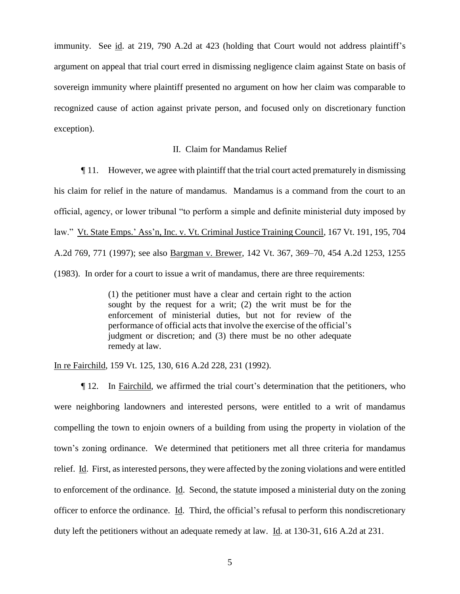immunity. See id. at 219, 790 A.2d at 423 (holding that Court would not address plaintiff's argument on appeal that trial court erred in dismissing negligence claim against State on basis of sovereign immunity where plaintiff presented no argument on how her claim was comparable to recognized cause of action against private person, and focused only on discretionary function exception).

## II. Claim for Mandamus Relief

¶ 11. However, we agree with plaintiff that the trial court acted prematurely in dismissing his claim for relief in the nature of mandamus. Mandamus is a command from the court to an official, agency, or lower tribunal "to perform a simple and definite ministerial duty imposed by law." Vt. State Emps.' Ass'n, Inc. v. Vt. Criminal Justice Training Council, 167 Vt. 191, 195, 704 A.2d 769, 771 (1997); see also Bargman v. Brewer, 142 Vt. 367, 369–70, 454 A.2d 1253, 1255 (1983). In order for a court to issue a writ of mandamus, there are three requirements:

> (1) the petitioner must have a clear and certain right to the action sought by the request for a writ; (2) the writ must be for the enforcement of ministerial duties, but not for review of the performance of official acts that involve the exercise of the official's judgment or discretion; and (3) there must be no other adequate remedy at law.

In re Fairchild, 159 Vt. 125, 130, 616 A.2d 228, 231 (1992).

¶ 12. In Fairchild, we affirmed the trial court's determination that the petitioners, who were neighboring landowners and interested persons, were entitled to a writ of mandamus compelling the town to enjoin owners of a building from using the property in violation of the town's zoning ordinance. We determined that petitioners met all three criteria for mandamus relief. Id. First, as interested persons, they were affected by the zoning violations and were entitled to enforcement of the ordinance. Id. Second, the statute imposed a ministerial duty on the zoning officer to enforce the ordinance. Id. Third, the official's refusal to perform this nondiscretionary duty left the petitioners without an adequate remedy at law. Id. at 130-31, 616 A.2d at 231.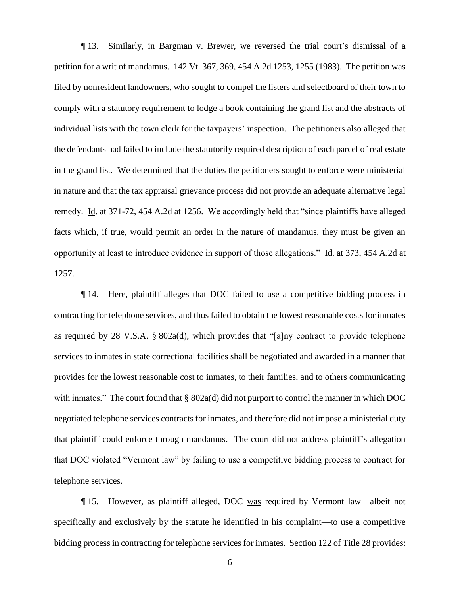¶ 13. Similarly, in Bargman v. Brewer, we reversed the trial court's dismissal of a petition for a writ of mandamus. 142 Vt. 367, 369, 454 A.2d 1253, 1255 (1983). The petition was filed by nonresident landowners, who sought to compel the listers and selectboard of their town to comply with a statutory requirement to lodge a book containing the grand list and the abstracts of individual lists with the town clerk for the taxpayers' inspection. The petitioners also alleged that the defendants had failed to include the statutorily required description of each parcel of real estate in the grand list. We determined that the duties the petitioners sought to enforce were ministerial in nature and that the tax appraisal grievance process did not provide an adequate alternative legal remedy. Id. at 371-72, 454 A.2d at 1256. We accordingly held that "since plaintiffs have alleged facts which, if true, would permit an order in the nature of mandamus, they must be given an opportunity at least to introduce evidence in support of those allegations." Id. at 373, 454 A.2d at 1257.

¶ 14. Here, plaintiff alleges that DOC failed to use a competitive bidding process in contracting for telephone services, and thus failed to obtain the lowest reasonable costs for inmates as required by 28 V.S.A. § 802a(d), which provides that "[a]ny contract to provide telephone services to inmates in state correctional facilities shall be negotiated and awarded in a manner that provides for the lowest reasonable cost to inmates, to their families, and to others communicating with inmates." The court found that § 802a(d) did not purport to control the manner in which DOC negotiated telephone services contracts for inmates, and therefore did not impose a ministerial duty that plaintiff could enforce through mandamus. The court did not address plaintiff's allegation that DOC violated "Vermont law" by failing to use a competitive bidding process to contract for telephone services.

¶ 15. However, as plaintiff alleged, DOC was required by Vermont law—albeit not specifically and exclusively by the statute he identified in his complaint—to use a competitive bidding process in contracting for telephone services for inmates. Section 122 of Title 28 provides: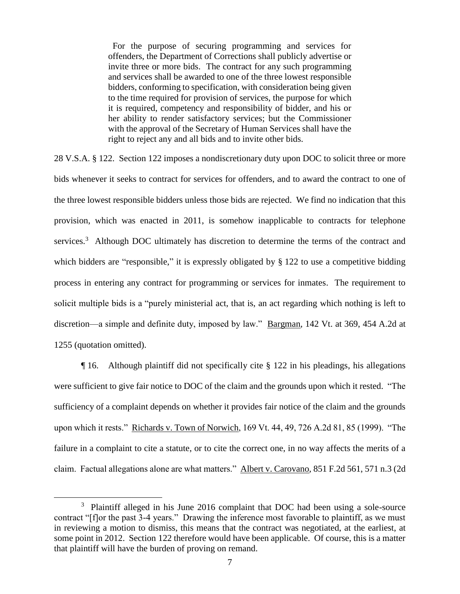For the purpose of securing programming and services for offenders, the Department of Corrections shall publicly advertise or invite three or more bids. The contract for any such programming and services shall be awarded to one of the three lowest responsible bidders, conforming to specification, with consideration being given to the time required for provision of services, the purpose for which it is required, competency and responsibility of bidder, and his or her ability to render satisfactory services; but the Commissioner with the approval of the Secretary of Human Services shall have the right to reject any and all bids and to invite other bids.

28 V.S.A. § 122. Section 122 imposes a nondiscretionary duty upon DOC to solicit three or more bids whenever it seeks to contract for services for offenders, and to award the contract to one of the three lowest responsible bidders unless those bids are rejected. We find no indication that this provision, which was enacted in 2011, is somehow inapplicable to contracts for telephone services.<sup>3</sup> Although DOC ultimately has discretion to determine the terms of the contract and which bidders are "responsible," it is expressly obligated by § 122 to use a competitive bidding process in entering any contract for programming or services for inmates. The requirement to solicit multiple bids is a "purely ministerial act, that is, an act regarding which nothing is left to discretion—a simple and definite duty, imposed by law." Bargman, 142 Vt. at 369, 454 A.2d at 1255 (quotation omitted).

¶ 16. Although plaintiff did not specifically cite § 122 in his pleadings, his allegations were sufficient to give fair notice to DOC of the claim and the grounds upon which it rested. "The sufficiency of a complaint depends on whether it provides fair notice of the claim and the grounds upon which it rests." Richards v. Town of Norwich, 169 Vt. 44, 49, 726 A.2d 81, 85 (1999). "The failure in a complaint to cite a statute, or to cite the correct one, in no way affects the merits of a claim. Factual allegations alone are what matters." Albert v. Carovano, 851 F.2d 561, 571 n.3 (2d

 $\overline{a}$ 

<sup>&</sup>lt;sup>3</sup> Plaintiff alleged in his June 2016 complaint that DOC had been using a sole-source contract "[f]or the past 3-4 years." Drawing the inference most favorable to plaintiff, as we must in reviewing a motion to dismiss, this means that the contract was negotiated, at the earliest, at some point in 2012. Section 122 therefore would have been applicable. Of course, this is a matter that plaintiff will have the burden of proving on remand.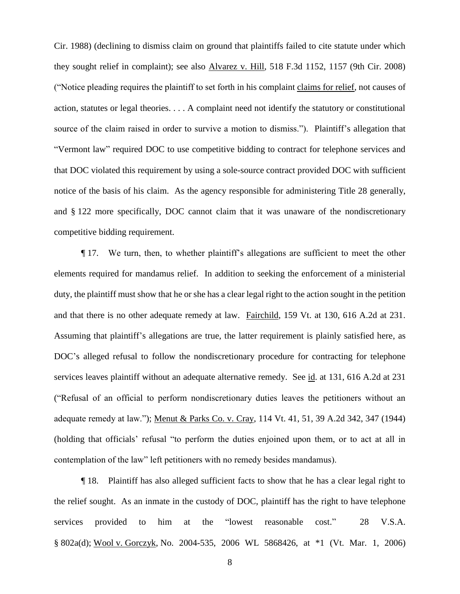Cir. 1988) (declining to dismiss claim on ground that plaintiffs failed to cite statute under which they sought relief in complaint); see also Alvarez v. Hill, 518 F.3d 1152, 1157 (9th Cir. 2008) ("Notice pleading requires the plaintiff to set forth in his complaint claims for relief, not causes of action, statutes or legal theories. . . . A complaint need not identify the statutory or constitutional source of the claim raised in order to survive a motion to dismiss."). Plaintiff's allegation that "Vermont law" required DOC to use competitive bidding to contract for telephone services and that DOC violated this requirement by using a sole-source contract provided DOC with sufficient notice of the basis of his claim. As the agency responsible for administering Title 28 generally, and § 122 more specifically, DOC cannot claim that it was unaware of the nondiscretionary competitive bidding requirement.

¶ 17. We turn, then, to whether plaintiff's allegations are sufficient to meet the other elements required for mandamus relief. In addition to seeking the enforcement of a ministerial duty, the plaintiff must show that he or she has a clear legal right to the action sought in the petition and that there is no other adequate remedy at law. Fairchild, 159 Vt. at 130, 616 A.2d at 231. Assuming that plaintiff's allegations are true, the latter requirement is plainly satisfied here, as DOC's alleged refusal to follow the nondiscretionary procedure for contracting for telephone services leaves plaintiff without an adequate alternative remedy. See id. at 131, 616 A.2d at 231 ("Refusal of an official to perform nondiscretionary duties leaves the petitioners without an adequate remedy at law."); Menut & Parks Co. v. Cray, 114 Vt. 41, 51, 39 A.2d 342, 347 (1944) (holding that officials' refusal "to perform the duties enjoined upon them, or to act at all in contemplation of the law" left petitioners with no remedy besides mandamus).

¶ 18. Plaintiff has also alleged sufficient facts to show that he has a clear legal right to the relief sought. As an inmate in the custody of DOC, plaintiff has the right to have telephone services provided to him at the "lowest reasonable cost." 28 V.S.A. § 802a(d); Wool v. Gorczyk, No. 2004-535, 2006 WL 5868426, at \*1 (Vt. Mar. 1, 2006)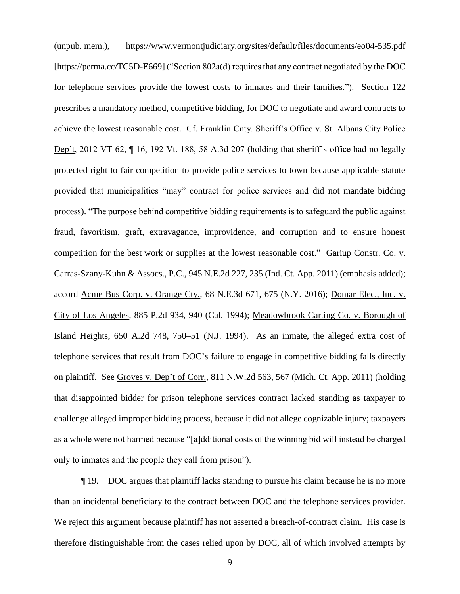(unpub. mem.), https://www.vermontjudiciary.org/sites/default/files/documents/eo04-535.pdf [https://perma.cc/TC5D-E669] ("Section 802a(d) requires that any contract negotiated by the DOC for telephone services provide the lowest costs to inmates and their families."). Section 122 prescribes a mandatory method, competitive bidding, for DOC to negotiate and award contracts to achieve the lowest reasonable cost. Cf. Franklin Cnty. Sheriff's Office v. St. Albans City Police Dep't, 2012 VT 62, ¶ 16, 192 Vt. 188, 58 A.3d 207 (holding that sheriff's office had no legally protected right to fair competition to provide police services to town because applicable statute provided that municipalities "may" contract for police services and did not mandate bidding process). "The purpose behind competitive bidding requirements is to safeguard the public against fraud, favoritism, graft, extravagance, improvidence, and corruption and to ensure honest competition for the best work or supplies at the lowest reasonable cost." Gariup Constr. Co. v. Carras-Szany-Kuhn & Assocs., P.C., 945 N.E.2d 227, 235 (Ind. Ct. App. 2011) (emphasis added); accord Acme Bus Corp. v. Orange Cty., 68 N.E.3d 671, 675 (N.Y. 2016); Domar Elec., Inc. v. City of Los Angeles, 885 P.2d 934, 940 (Cal. 1994); Meadowbrook Carting Co. v. Borough of Island Heights, 650 A.2d 748, 750–51 (N.J. 1994). As an inmate, the alleged extra cost of telephone services that result from DOC's failure to engage in competitive bidding falls directly on plaintiff. See Groves v. Dep't of Corr., 811 N.W.2d 563, 567 (Mich. Ct. App. 2011) (holding that disappointed bidder for prison telephone services contract lacked standing as taxpayer to challenge alleged improper bidding process, because it did not allege cognizable injury; taxpayers as a whole were not harmed because "[a]dditional costs of the winning bid will instead be charged only to inmates and the people they call from prison").

¶ 19. DOC argues that plaintiff lacks standing to pursue his claim because he is no more than an incidental beneficiary to the contract between DOC and the telephone services provider. We reject this argument because plaintiff has not asserted a breach-of-contract claim. His case is therefore distinguishable from the cases relied upon by DOC, all of which involved attempts by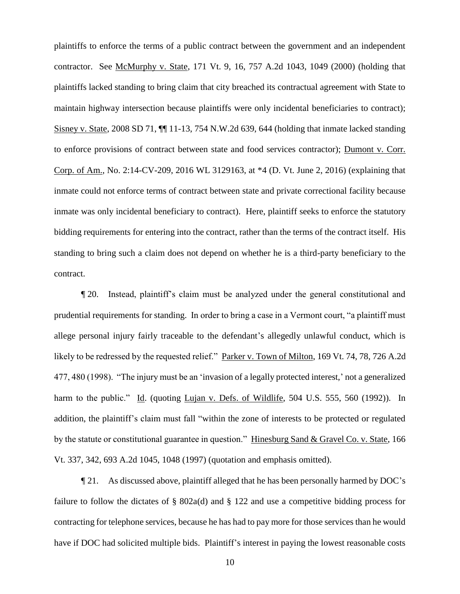plaintiffs to enforce the terms of a public contract between the government and an independent contractor. See McMurphy v. State, 171 Vt. 9, 16, 757 A.2d 1043, 1049 (2000) (holding that plaintiffs lacked standing to bring claim that city breached its contractual agreement with State to maintain highway intersection because plaintiffs were only incidental beneficiaries to contract); Sisney v. State, 2008 SD 71, ¶¶ 11-13, 754 N.W.2d 639, 644 (holding that inmate lacked standing to enforce provisions of contract between state and food services contractor); Dumont v. Corr. Corp. of Am., No. 2:14-CV-209, 2016 WL 3129163, at \*4 (D. Vt. June 2, 2016) (explaining that inmate could not enforce terms of contract between state and private correctional facility because inmate was only incidental beneficiary to contract). Here, plaintiff seeks to enforce the statutory bidding requirements for entering into the contract, rather than the terms of the contract itself. His standing to bring such a claim does not depend on whether he is a third-party beneficiary to the contract.

¶ 20. Instead, plaintiff's claim must be analyzed under the general constitutional and prudential requirements for standing. In order to bring a case in a Vermont court, "a plaintiff must allege personal injury fairly traceable to the defendant's allegedly unlawful conduct, which is likely to be redressed by the requested relief." Parker v. Town of Milton, 169 Vt. 74, 78, 726 A.2d 477, 480 (1998). "The injury must be an 'invasion of a legally protected interest,' not a generalized harm to the public." Id. (quoting Lujan v. Defs. of Wildlife, 504 U.S. 555, 560 (1992)). In addition, the plaintiff's claim must fall "within the zone of interests to be protected or regulated by the statute or constitutional guarantee in question." Hinesburg Sand & Gravel Co. v. State, 166 Vt. 337, 342, 693 A.2d 1045, 1048 (1997) (quotation and emphasis omitted).

¶ 21. As discussed above, plaintiff alleged that he has been personally harmed by DOC's failure to follow the dictates of  $\S$  802a(d) and  $\S$  122 and use a competitive bidding process for contracting for telephone services, because he has had to pay more for those services than he would have if DOC had solicited multiple bids. Plaintiff's interest in paying the lowest reasonable costs